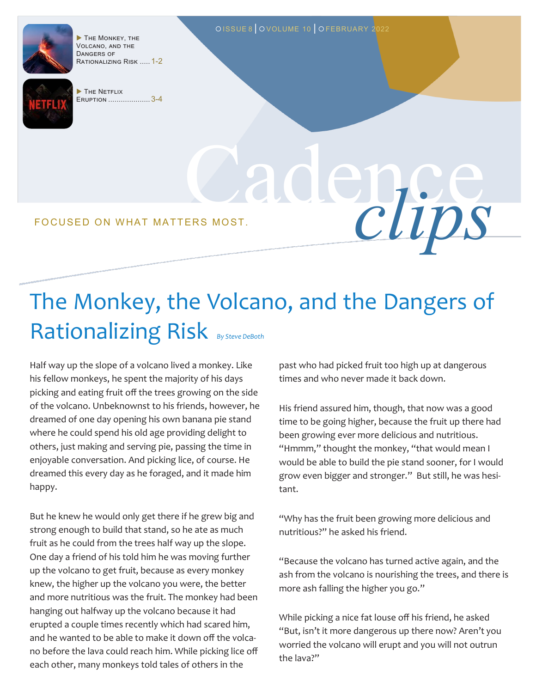

THE MONKEY, THE Volcano, and the Dangers of Rationalizing Risk ..... 1-2



THE NETFLIX Eruption .................... 3-4

Cadence FOCUSED ON WHAT MATTERS MOST.

## The Monkey, the Volcano, and the Dangers of Rationalizing Risk By Steve DeBoth

OISSUE 8 OVOLUME 10 OFEBRUARY 2022

Half way up the slope of a volcano lived a monkey. Like his fellow monkeys, he spent the majority of his days picking and eating fruit off the trees growing on the side of the volcano. Unbeknownst to his friends, however, he dreamed of one day opening his own banana pie stand where he could spend his old age providing delight to others, just making and serving pie, passing the time in enjoyable conversation. And picking lice, of course. He dreamed this every day as he foraged, and it made him happy.

But he knew he would only get there if he grew big and strong enough to build that stand, so he ate as much fruit as he could from the trees half way up the slope. One day a friend of his told him he was moving further up the volcano to get fruit, because as every monkey knew, the higher up the volcano you were, the better and more nutritious was the fruit. The monkey had been hanging out halfway up the volcano because it had erupted a couple times recently which had scared him, and he wanted to be able to make it down off the volcano before the lava could reach him. While picking lice off each other, many monkeys told tales of others in the

past who had picked fruit too high up at dangerous times and who never made it back down.

His friend assured him, though, that now was a good time to be going higher, because the fruit up there had been growing ever more delicious and nutritious. "Hmmm," thought the monkey, "that would mean I would be able to build the pie stand sooner, for I would grow even bigger and stronger." But still, he was hesitant.

"Why has the fruit been growing more delicious and nutritious?" he asked his friend.

"Because the volcano has turned active again, and the ash from the volcano is nourishing the trees, and there is more ash falling the higher you go."

While picking a nice fat louse off his friend, he asked "But, isn't it more dangerous up there now? Aren't you worried the volcano will erupt and you will not outrun the lava?"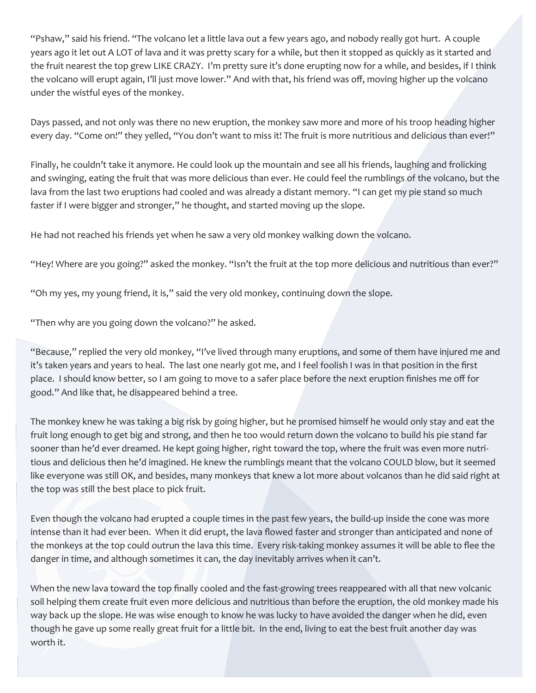"Pshaw," said his friend. "The volcano let a little lava out a few years ago, and nobody really got hurt. A couple years ago it let out A LOT of lava and it was pretty scary for a while, but then it stopped as quickly as it started and the fruit nearest the top grew LIKE CRAZY. I'm pretty sure it's done erupting now for a while, and besides, if I think the volcano will erupt again, I'll just move lower." And with that, his friend was off, moving higher up the volcano under the wistful eyes of the monkey.

Days passed, and not only was there no new eruption, the monkey saw more and more of his troop heading higher every day. "Come on!" they yelled, "You don't want to miss it! The fruit is more nutritious and delicious than ever!"

Finally, he couldn't take it anymore. He could look up the mountain and see all his friends, laughing and frolicking and swinging, eating the fruit that was more delicious than ever. He could feel the rumblings of the volcano, but the lava from the last two eruptions had cooled and was already a distant memory. "I can get my pie stand so much faster if I were bigger and stronger," he thought, and started moving up the slope.

He had not reached his friends yet when he saw a very old monkey walking down the volcano.

"Hey! Where are you going?" asked the monkey. "Isn't the fruit at the top more delicious and nutritious than ever?"

"Oh my yes, my young friend, it is," said the very old monkey, continuing down the slope.

"Then why are you going down the volcano?" he asked.

"Because," replied the very old monkey, "I've lived through many eruptions, and some of them have injured me and it's taken years and years to heal. The last one nearly got me, and I feel foolish I was in that position in the first place. I should know better, so I am going to move to a safer place before the next eruption finishes me off for good." And like that, he disappeared behind a tree.

The monkey knew he was taking a big risk by going higher, but he promised himself he would only stay and eat the fruit long enough to get big and strong, and then he too would return down the volcano to build his pie stand far sooner than he'd ever dreamed. He kept going higher, right toward the top, where the fruit was even more nutritious and delicious then he'd imagined. He knew the rumblings meant that the volcano COULD blow, but it seemed like everyone was still OK, and besides, many monkeys that knew a lot more about volcanos than he did said right at the top was still the best place to pick fruit.

Even though the volcano had erupted a couple times in the past few years, the build-up inside the cone was more intense than it had ever been. When it did erupt, the lava flowed faster and stronger than anticipated and none of the monkeys at the top could outrun the lava this time. Every risk-taking monkey assumes it will be able to flee the danger in time, and although sometimes it can, the day inevitably arrives when it can't.

When the new lava toward the top finally cooled and the fast-growing trees reappeared with all that new volcanic soil helping them create fruit even more delicious and nutritious than before the eruption, the old monkey made his way back up the slope. He was wise enough to know he was lucky to have avoided the danger when he did, even though he gave up some really great fruit for a little bit. In the end, living to eat the best fruit another day was worth it.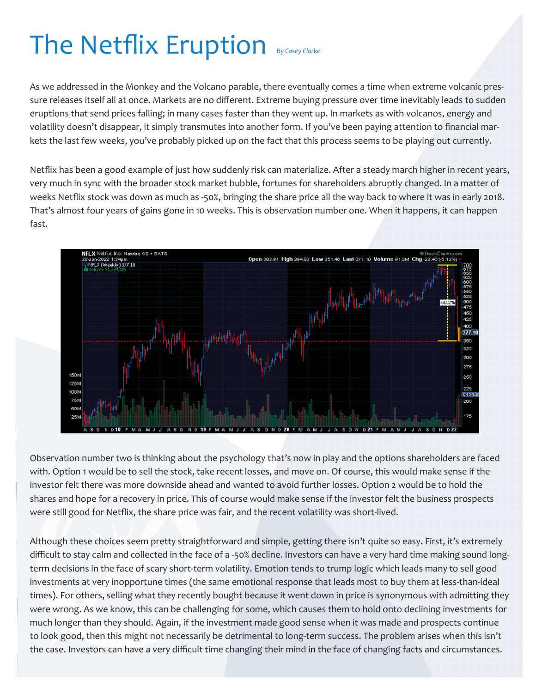## The Netflix Eruption *By Casey Clarke*

As we addressed in the Monkey and the Volcano parable, there eventually comes a time when extreme volcanic pressure releases itself all at once. Markets are no different. Extreme buying pressure over time inevitably leads to sudden eruptions that send prices falling; in many cases faster than they went up. In markets as with volcanos, energy and volatility doesn't disappear, it simply transmutes into another form. If you've been paying attention to financial markets the last few weeks, you've probably picked up on the fact that this process seems to be playing out currently.

Netflix has been a good example of just how suddenly risk can materialize. After a steady march higher in recent years, very much in sync with the broader stock market bubble, fortunes for shareholders abruptly changed. In a matter of weeks Netflix stock was down as much as -50%, bringing the share price all the way back to where it was in early 2018. That's almost four years of gains gone in 10 weeks. This is observation number one. When it happens, it can happen fast.



Observation number two is thinking about the psychology that's now in play and the options shareholders are faced with. Option 1 would be to sell the stock, take recent losses, and move on. Of course, this would make sense if the investor felt there was more downside ahead and wanted to avoid further losses. Option 2 would be to hold the shares and hope for a recovery in price. This of course would make sense if the investor felt the business prospects were still good for Netflix, the share price was fair, and the recent volatility was short-lived.

Although these choices seem pretty straightforward and simple, getting there isn't quite so easy. First, it's extremely difficult to stay calm and collected in the face of a -50% decline. Investors can have a very hard time making sound longterm decisions in the face of scary short-term volatility. Emotion tends to trump logic which leads many to sell good investments at very inopportune times (the same emotional response that leads most to buy them at less-than-ideal times). For others, selling what they recently bought because it went down in price is synonymous with admitting they were wrong. As we know, this can be challenging for some, which causes them to hold onto declining investments for much longer than they should. Again, if the investment made good sense when it was made and prospects continue to look good, then this might not necessarily be detrimental to long-term success. The problem arises when this isn't the case. Investors can have a very difficult time changing their mind in the face of changing facts and circumstances.